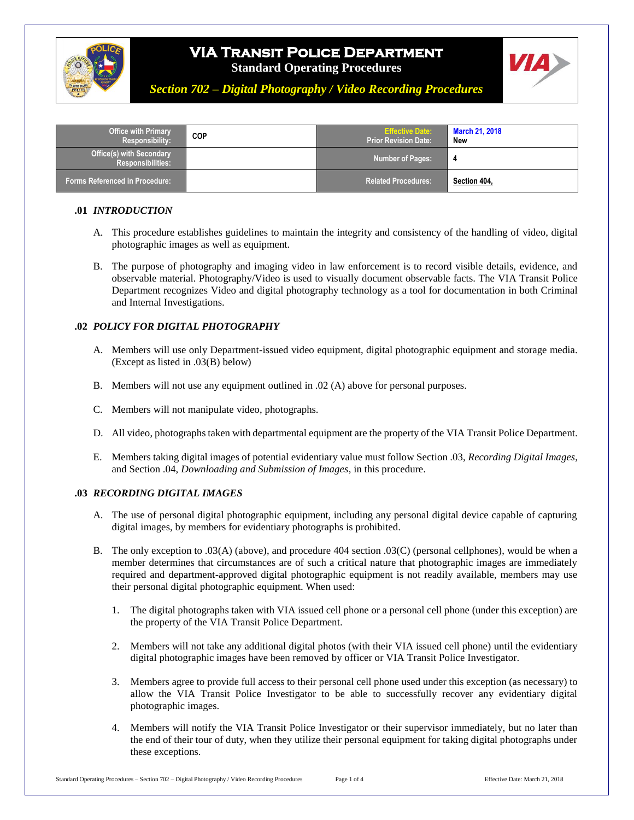

# **VIA Transit Police Department**

**Standard Operating Procedures**



*Section 702 – Digital Photography / Video Recording Procedures*

| <b>Office with Primary</b><br>Responsibility:               | <b>COP</b> | <b>Effective Date:</b><br><b>Prior Revision Date:</b> | <b>March 21, 2018</b><br>New |
|-------------------------------------------------------------|------------|-------------------------------------------------------|------------------------------|
| <b>Office(s) with Secondary</b><br><b>Responsibilities:</b> |            | <b>Number of Pages:</b>                               | - 4                          |
| <b>Forms Referenced in Procedure:</b>                       |            | <b>Related Procedures:</b>                            | Section 404,                 |

### **.01** *INTRODUCTION*

- A. This procedure establishes guidelines to maintain the integrity and consistency of the handling of video, digital photographic images as well as equipment.
- B. The purpose of photography and imaging video in law enforcement is to record visible details, evidence, and observable material. Photography/Video is used to visually document observable facts. The VIA Transit Police Department recognizes Video and digital photography technology as a tool for documentation in both Criminal and Internal Investigations.

### **.02** *POLICY FOR DIGITAL PHOTOGRAPHY*

- A. Members will use only Department-issued video equipment, digital photographic equipment and storage media. (Except as listed in .03(B) below)
- B. Members will not use any equipment outlined in .02 (A) above for personal purposes.
- C. Members will not manipulate video, photographs.
- D. All video, photographs taken with departmental equipment are the property of the VIA Transit Police Department.
- E. Members taking digital images of potential evidentiary value must follow Section .03, *Recording Digital Images*, and Section .04, *Downloading and Submission of Images*, in this procedure.

#### **.03** *RECORDING DIGITAL IMAGES*

- A. The use of personal digital photographic equipment, including any personal digital device capable of capturing digital images, by members for evidentiary photographs is prohibited.
- B. The only exception to .03(A) (above), and procedure 404 section .03(C) (personal cellphones), would be when a member determines that circumstances are of such a critical nature that photographic images are immediately required and department-approved digital photographic equipment is not readily available, members may use their personal digital photographic equipment. When used:
	- 1. The digital photographs taken with VIA issued cell phone or a personal cell phone (under this exception) are the property of the VIA Transit Police Department.
	- 2. Members will not take any additional digital photos (with their VIA issued cell phone) until the evidentiary digital photographic images have been removed by officer or VIA Transit Police Investigator.
	- 3. Members agree to provide full access to their personal cell phone used under this exception (as necessary) to allow the VIA Transit Police Investigator to be able to successfully recover any evidentiary digital photographic images.
	- 4. Members will notify the VIA Transit Police Investigator or their supervisor immediately, but no later than the end of their tour of duty, when they utilize their personal equipment for taking digital photographs under these exceptions.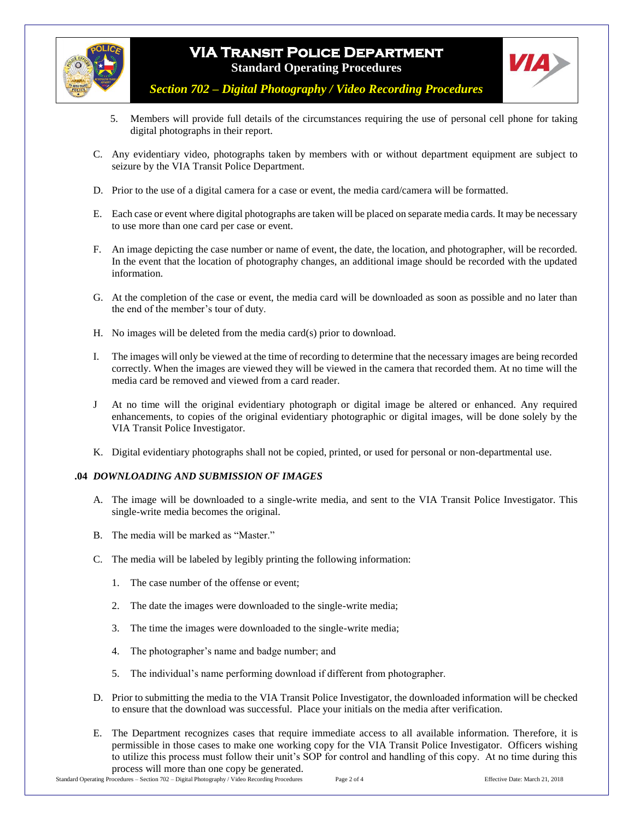

## **VIA Transit Police Department Standard Operating Procedures**



*Section 702 – Digital Photography / Video Recording Procedures*

- 5. Members will provide full details of the circumstances requiring the use of personal cell phone for taking digital photographs in their report.
- C. Any evidentiary video, photographs taken by members with or without department equipment are subject to seizure by the VIA Transit Police Department.
- D. Prior to the use of a digital camera for a case or event, the media card/camera will be formatted.
- E. Each case or event where digital photographs are taken will be placed on separate media cards. It may be necessary to use more than one card per case or event.
- F. An image depicting the case number or name of event, the date, the location, and photographer, will be recorded. In the event that the location of photography changes, an additional image should be recorded with the updated information.
- G. At the completion of the case or event, the media card will be downloaded as soon as possible and no later than the end of the member's tour of duty.
- H. No images will be deleted from the media card(s) prior to download.
- I. The images will only be viewed at the time of recording to determine that the necessary images are being recorded correctly. When the images are viewed they will be viewed in the camera that recorded them. At no time will the media card be removed and viewed from a card reader.
- J At no time will the original evidentiary photograph or digital image be altered or enhanced. Any required enhancements, to copies of the original evidentiary photographic or digital images, will be done solely by the VIA Transit Police Investigator.
- K. Digital evidentiary photographs shall not be copied, printed, or used for personal or non-departmental use.

#### **.04** *DOWNLOADING AND SUBMISSION OF IMAGES*

- A. The image will be downloaded to a single-write media, and sent to the VIA Transit Police Investigator. This single-write media becomes the original.
- B. The media will be marked as "Master."
- C. The media will be labeled by legibly printing the following information:
	- 1. The case number of the offense or event;
	- 2. The date the images were downloaded to the single-write media;
	- 3. The time the images were downloaded to the single-write media;
	- 4. The photographer's name and badge number; and
	- 5. The individual's name performing download if different from photographer.
- D. Prior to submitting the media to the VIA Transit Police Investigator, the downloaded information will be checked to ensure that the download was successful. Place your initials on the media after verification.
- E. The Department recognizes cases that require immediate access to all available information. Therefore, it is permissible in those cases to make one working copy for the VIA Transit Police Investigator. Officers wishing to utilize this process must follow their unit's SOP for control and handling of this copy. At no time during this process will more than one copy be generated.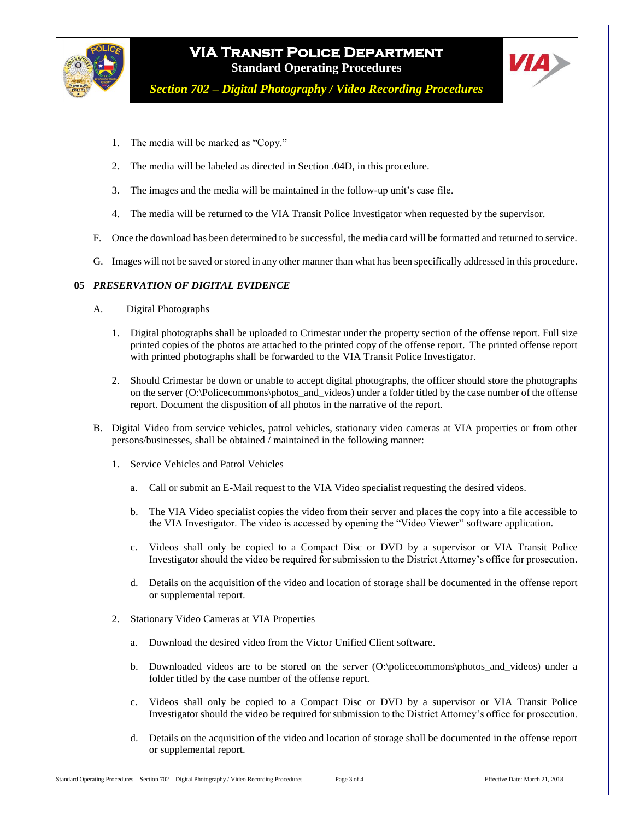



*Section 702 – Digital Photography / Video Recording Procedures*

- 1. The media will be marked as "Copy."
- 2. The media will be labeled as directed in Section .04D, in this procedure.
- 3. The images and the media will be maintained in the follow-up unit's case file.
- 4. The media will be returned to the VIA Transit Police Investigator when requested by the supervisor.
- F. Once the download has been determined to be successful, the media card will be formatted and returned to service.
- G. Images will not be saved or stored in any other manner than what has been specifically addressed in this procedure.

### **05** *PRESERVATION OF DIGITAL EVIDENCE*

- A. Digital Photographs
	- 1. Digital photographs shall be uploaded to Crimestar under the property section of the offense report. Full size printed copies of the photos are attached to the printed copy of the offense report. The printed offense report with printed photographs shall be forwarded to the VIA Transit Police Investigator.
	- 2. Should Crimestar be down or unable to accept digital photographs, the officer should store the photographs on the server (O:\Policecommons\photos\_and\_videos) under a folder titled by the case number of the offense report. Document the disposition of all photos in the narrative of the report.
- B. Digital Video from service vehicles, patrol vehicles, stationary video cameras at VIA properties or from other persons/businesses, shall be obtained / maintained in the following manner:
	- 1. Service Vehicles and Patrol Vehicles
		- a. Call or submit an E-Mail request to the VIA Video specialist requesting the desired videos.
		- b. The VIA Video specialist copies the video from their server and places the copy into a file accessible to the VIA Investigator. The video is accessed by opening the "Video Viewer" software application.
		- c. Videos shall only be copied to a Compact Disc or DVD by a supervisor or VIA Transit Police Investigator should the video be required for submission to the District Attorney's office for prosecution.
		- d. Details on the acquisition of the video and location of storage shall be documented in the offense report or supplemental report.
	- 2. Stationary Video Cameras at VIA Properties
		- a. Download the desired video from the Victor Unified Client software.
		- b. Downloaded videos are to be stored on the server (O:\policecommons\photos\_and\_videos) under a folder titled by the case number of the offense report.
		- c. Videos shall only be copied to a Compact Disc or DVD by a supervisor or VIA Transit Police Investigator should the video be required for submission to the District Attorney's office for prosecution.
		- d. Details on the acquisition of the video and location of storage shall be documented in the offense report or supplemental report.